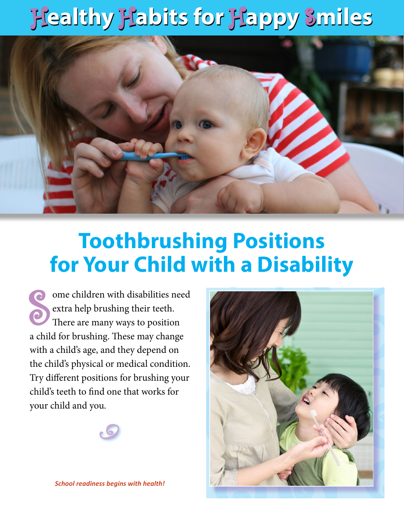## H**ealthy** H**abits for** H**appy** S**miles** H**ealthy** H**abits for** H**appy** S**miles**



## **Toothbrushing Positions for Your Child with a Disability**

S<br>S ome children with disabilities need extra help brushing their teeth. There are many ways to position a child for brushing. These may change with a child's age, and they depend on the child's physical or medical condition. Try different positions for brushing your child's teeth to find one that works for your child and you.





*School readiness begins with health!*